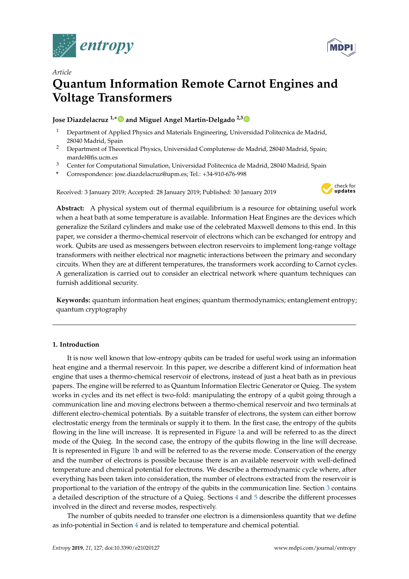



# *Article* **Quantum Information Remote Carnot Engines and Voltage Transformers**

# **Jose Diazdelacruz 1,**[∗](https://orcid.org/0000-0002-5809-2089) **and Miguel Angel Martin-Delgado 2,[3](https://orcid.org/0000-0003-2746-5062)**

- <sup>1</sup> Department of Applied Physics and Materials Engineering, Universidad Politecnica de Madrid, 28040 Madrid, Spain
- <sup>2</sup> Department of Theoretical Physics, Universidad Complutense de Madrid, 28040 Madrid, Spain; mardel@fis.ucm.es
- <sup>3</sup> Center for Computational Simulation, Universidad Politecnica de Madrid, 28040 Madrid, Spain
- **\*** Correspondence: jose.diazdelacruz@upm.es; Tel.: +34-910-676-998

Received: 3 January 2019; Accepted: 28 January 2019; Published: 30 January 2019



**Abstract:** A physical system out of thermal equilibrium is a resource for obtaining useful work when a heat bath at some temperature is available. Information Heat Engines are the devices which generalize the Szilard cylinders and make use of the celebrated Maxwell demons to this end. In this paper, we consider a thermo-chemical reservoir of electrons which can be exchanged for entropy and work. Qubits are used as messengers between electron reservoirs to implement long-range voltage transformers with neither electrical nor magnetic interactions between the primary and secondary circuits. When they are at different temperatures, the transformers work according to Carnot cycles. A generalization is carried out to consider an electrical network where quantum techniques can furnish additional security.

**Keywords:** quantum information heat engines; quantum thermodynamics; entanglement entropy; quantum cryptography

# **1. Introduction**

It is now well known that low-entropy qubits can be traded for useful work using an information heat engine and a thermal reservoir. In this paper, we describe a different kind of information heat engine that uses a thermo-chemical reservoir of electrons, instead of just a heat bath as in previous papers. The engine will be referred to as Quantum Information Electric Generator or Quieg. The system works in cycles and its net effect is two-fold: manipulating the entropy of a qubit going through a communication line and moving electrons between a thermo-chemical reservoir and two terminals at different electro-chemical potentials. By a suitable transfer of electrons, the system can either borrow electrostatic energy from the terminals or supply it to them. In the first case, the entropy of the qubits flowing in the line will increase. It is represented in Figure [1a](#page-1-0) and will be referred to as the direct mode of the Quieg. In the second case, the entropy of the qubits flowing in the line will decrease. It is represented in Figure [1b](#page-1-0) and will be referred to as the reverse mode. Conservation of the energy and the number of electrons is possible because there is an available reservoir with well-defined temperature and chemical potential for electrons. We describe a thermodynamic cycle where, after everything has been taken into consideration, the number of electrons extracted from the reservoir is proportional to the variation of the entropy of the qubits in the communication line. Section [3](#page-3-0) contains a detailed description of the structure of a Quieg. Sections [4](#page-4-0) and [5](#page-9-0) describe the different processes involved in the direct and reverse modes, respectively.

The number of qubits needed to transfer one electron is a dimensionless quantity that we define as info-potential in Section [4](#page-4-0) and is related to temperature and chemical potential.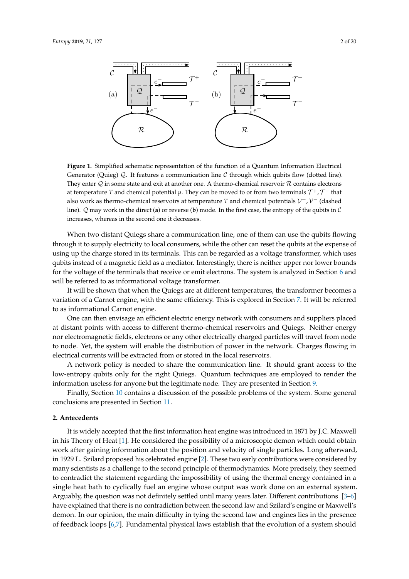<span id="page-1-0"></span>

**Figure 1.** Simplified schematic representation of the function of a Quantum Information Electrical Generator (Quieg)  $Q$ . It features a communication line  $C$  through which qubits flow (dotted line). They enter  $Q$  in some state and exit at another one. A thermo-chemical reservoir  $R$  contains electrons at temperature  $T$  and chemical potential  $\mu$ . They can be moved to or from two terminals  $\mathcal{T}^+$ ,  $\mathcal{T}^-$  that also work as thermo-chemical reservoirs at temperature *T* and chemical potentials  $\mathcal{V}^+$ ,  $\mathcal{V}^-$  (dashed line). Q may work in the direct (**a**) or reverse (**b**) mode. In the first case, the entropy of the qubits in C increases, whereas in the second one it decreases.

When two distant Quiegs share a communication line, one of them can use the qubits flowing through it to supply electricity to local consumers, while the other can reset the qubits at the expense of using up the charge stored in its terminals. This can be regarded as a voltage transformer, which uses qubits instead of a magnetic field as a mediator. Interestingly, there is neither upper nor lower bounds for the voltage of the terminals that receive or emit electrons. The system is analyzed in Section [6](#page-11-0) and will be referred to as informational voltage transformer.

It will be shown that when the Quiegs are at different temperatures, the transformer becomes a variation of a Carnot engine, with the same efficiency. This is explored in Section [7.](#page-12-0) It will be referred to as informational Carnot engine.

One can then envisage an efficient electric energy network with consumers and suppliers placed at distant points with access to different thermo-chemical reservoirs and Quiegs. Neither energy nor electromagnetic fields, electrons or any other electrically charged particles will travel from node to node. Yet, the system will enable the distribution of power in the network. Charges flowing in electrical currents will be extracted from or stored in the local reservoirs.

A network policy is needed to share the communication line. It should grant access to the low-entropy qubits only for the right Quiegs. Quantum techniques are employed to render the information useless for anyone but the legitimate node. They are presented in Section [9.](#page-13-0)

Finally, Section [10](#page-15-0) contains a discussion of the possible problems of the system. Some general conclusions are presented in Section [11.](#page-16-0)

## **2. Antecedents**

It is widely accepted that the first information heat engine was introduced in 1871 by J.C. Maxwell in his Theory of Heat [\[1\]](#page-17-0). He considered the possibility of a microscopic demon which could obtain work after gaining information about the position and velocity of single particles. Long afterward, in 1929 L. Szilard proposed his celebrated engine [\[2\]](#page-17-1). These two early contributions were considered by many scientists as a challenge to the second principle of thermodynamics. More precisely, they seemed to contradict the statement regarding the impossibility of using the thermal energy contained in a single heat bath to cyclically fuel an engine whose output was work done on an external system. Arguably, the question was not definitely settled until many years later. Different contributions [\[3](#page-17-2)[–6\]](#page-17-3) have explained that there is no contradiction between the second law and Szilard's engine or Maxwell's demon. In our opinion, the main difficulty in tying the second law and engines lies in the presence of feedback loops [\[6](#page-17-3)[,7\]](#page-17-4). Fundamental physical laws establish that the evolution of a system should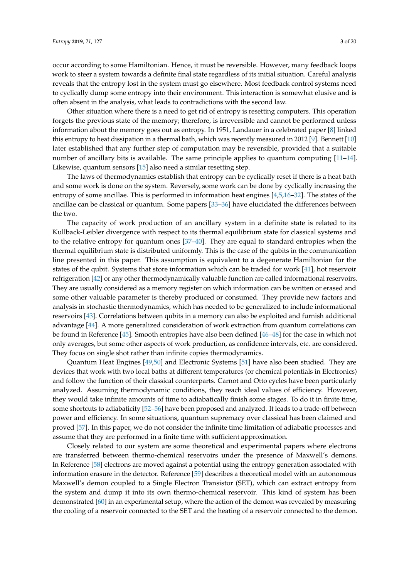occur according to some Hamiltonian. Hence, it must be reversible. However, many feedback loops work to steer a system towards a definite final state regardless of its initial situation. Careful analysis reveals that the entropy lost in the system must go elsewhere. Most feedback control systems need to cyclically dump some entropy into their environment. This interaction is somewhat elusive and is often absent in the analysis, what leads to contradictions with the second law.

Other situation where there is a need to get rid of entropy is resetting computers. This operation forgets the previous state of the memory; therefore, is irreversible and cannot be performed unless information about the memory goes out as entropy. In 1951, Landauer in a celebrated paper [\[8\]](#page-17-5) linked this entropy to heat dissipation in a thermal bath, which was recently measured in 2012 [\[9\]](#page-17-6). Bennett [\[10\]](#page-17-7) later established that any further step of computation may be reversible, provided that a suitable number of ancillary bits is available. The same principle applies to quantum computing [\[11–](#page-17-8)[14\]](#page-17-9). Likewise, quantum sensors [\[15\]](#page-17-10) also need a similar resetting step.

The laws of thermodynamics establish that entropy can be cyclically reset if there is a heat bath and some work is done on the system. Reversely, some work can be done by cyclically increasing the entropy of some ancillae. This is performed in information heat engines [\[4](#page-17-11)[,5](#page-17-12)[,16](#page-17-13)[–32\]](#page-18-0). The states of the ancillae can be classical or quantum. Some papers [\[33–](#page-18-1)[36\]](#page-18-2) have elucidated the differences between the two.

The capacity of work production of an ancillary system in a definite state is related to its Kullback-Leibler divergence with respect to its thermal equilibrium state for classical systems and to the relative entropy for quantum ones [\[37](#page-18-3)[–40\]](#page-18-4). They are equal to standard entropies when the thermal equilibrium state is distributed uniformly. This is the case of the qubits in the communication line presented in this paper. This assumption is equivalent to a degenerate Hamiltonian for the states of the qubit. Systems that store information which can be traded for work [\[41\]](#page-18-5), hot reservoir refrigeration [\[42\]](#page-18-6) or any other thermodynamically valuable function are called informational reservoirs. They are usually considered as a memory register on which information can be written or erased and some other valuable parameter is thereby produced or consumed. They provide new factors and analysis in stochastic thermodynamics, which has needed to be generalized to include informational reservoirs [\[43\]](#page-18-7). Correlations between qubits in a memory can also be exploited and furnish additional advantage [\[44\]](#page-18-8). A more generalized consideration of work extraction from quantum correlations can be found in Reference [\[45\]](#page-18-9). Smooth entropies have also been defined [\[46](#page-18-10)[–48\]](#page-18-11) for the case in which not only averages, but some other aspects of work production, as confidence intervals, etc. are considered. They focus on single shot rather than infinite copies thermodynamics.

Quantum Heat Engines [\[49](#page-18-12)[,50\]](#page-18-13) and Electronic Systems [\[51\]](#page-18-14) have also been studied. They are devices that work with two local baths at different temperatures (or chemical potentials in Electronics) and follow the function of their classical counterparts. Carnot and Otto cycles have been particularly analyzed. Assuming thermodynamic conditions, they reach ideal values of efficiency. However, they would take infinite amounts of time to adiabatically finish some stages. To do it in finite time, some shortcuts to adiabaticity [\[52–](#page-18-15)[56\]](#page-19-0) have been proposed and analyzed. It leads to a trade-off between power and efficiency. In some situations, quantum supremacy over classical has been claimed and proved [\[57\]](#page-19-1). In this paper, we do not consider the infinite time limitation of adiabatic processes and assume that they are performed in a finite time with sufficient approximation.

Closely related to our system are some theoretical and experimental papers where electrons are transferred between thermo-chemical reservoirs under the presence of Maxwell's demons. In Reference [\[58\]](#page-19-2) electrons are moved against a potential using the entropy generation associated with information erasure in the detector. Reference [\[59\]](#page-19-3) describes a theoretical model with an autonomous Maxwell's demon coupled to a Single Electron Transistor (SET), which can extract entropy from the system and dump it into its own thermo-chemical reservoir. This kind of system has been demonstrated [\[60\]](#page-19-4) in an experimental setup, where the action of the demon was revealed by measuring the cooling of a reservoir connected to the SET and the heating of a reservoir connected to the demon.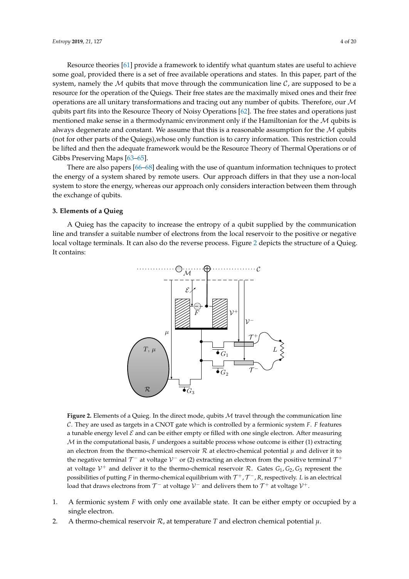Resource theories [\[61\]](#page-19-5) provide a framework to identify what quantum states are useful to achieve some goal, provided there is a set of free available operations and states. In this paper, part of the system, namely the M qubits that move through the communication line  $\mathcal{C}$ , are supposed to be a resource for the operation of the Quiegs. Their free states are the maximally mixed ones and their free operations are all unitary transformations and tracing out any number of qubits. Therefore, our  $\mathcal M$ qubits part fits into the Resource Theory of Noisy Operations [\[62\]](#page-19-6). The free states and operations just mentioned make sense in a thermodynamic environment only if the Hamiltonian for the  $M$  qubits is always degenerate and constant. We assume that this is a reasonable assumption for the  $M$  qubits (not for other parts of the Quiegs),whose only function is to carry information. This restriction could

be lifted and then the adequate framework would be the Resource Theory of Thermal Operations or of Gibbs Preserving Maps [\[63–](#page-19-7)[65\]](#page-19-8). There are also papers [\[66–](#page-19-9)[68\]](#page-19-10) dealing with the use of quantum information techniques to protect the energy of a system shared by remote users. Our approach differs in that they use a non-local

system to store the energy, whereas our approach only considers interaction between them through the exchange of qubits.

# <span id="page-3-0"></span>**3. Elements of a Quieg**

<span id="page-3-1"></span>A Quieg has the capacity to increase the entropy of a qubit supplied by the communication line and transfer a suitable number of electrons from the local reservoir to the positive or negative local voltage terminals. It can also do the reverse process. Figure [2](#page-3-1) depicts the structure of a Quieg. It contains:



**Figure 2.** Elements of a Quieg. In the direct mode, qubits M travel through the communication line C. They are used as targets in a CNOT gate which is controlled by a fermionic system *F*. *F* features a tunable energy level  $\mathcal E$  and can be either empty or filled with one single electron. After measuring M in the computational basis, *F* undergoes a suitable process whose outcome is either (1) extracting an electron from the thermo-chemical reservoir  $R$  at electro-chemical potential  $\mu$  and deliver it to the negative terminal  $\mathcal{T}^-$  at voltage  $\mathcal{V}^-$  or (2) extracting an electron from the positive terminal  $\mathcal{T}^+$ at voltage  $V^+$  and deliver it to the thermo-chemical reservoir R. Gates  $G_1$ ,  $G_2$ ,  $G_3$  represent the possibilities of putting F in thermo-chemical equilibrium with  $\mathcal{T}^+$ ,  $\mathcal{T}^-$ , R, respectively. L is an electrical load that draws electrons from  $\mathcal{T}^-$  at voltage  $\mathcal{V}^-$  and delivers them to  $\mathcal{T}^+$  at voltage  $\mathcal{V}^+$ .

- 1. A fermionic system *F* with only one available state. It can be either empty or occupied by a single electron.
- 2. A thermo-chemical reservoir  $\mathcal{R}$ , at temperature  $T$  and electron chemical potential  $\mu$ .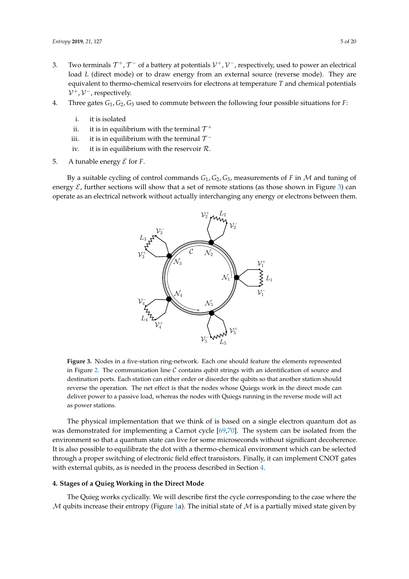- 3. Two terminals  $\mathcal{T}^+$ ,  $\mathcal{T}^-$  of a battery at potentials  $\mathcal{V}^+$ ,  $\mathcal{V}^-$ , respectively, used to power an electrical load *L* (direct mode) or to draw energy from an external source (reverse mode). They are equivalent to thermo-chemical reservoirs for electrons at temperature *T* and chemical potentials  $V^+$ ,  $V^-$ , respectively.
- 4. Three gates *G*1, *G*2, *G*<sup>3</sup> used to commute between the following four possible situations for *F*:
	- i. it is isolated
	- ii. it is in equilibrium with the terminal  $\mathcal{T}^+$
	- iii.  $\;$  it is in equilibrium with the terminal  $\mathcal{T}^-$
	- iv. it is in equilibrium with the reservoir  $\mathcal{R}$ .
- 5. A tunable energy  $\mathcal E$  for  $F$ .

<span id="page-4-1"></span>By a suitable cycling of control commands *G*1, *G*2, *G*3, measurements of *F* in M and tuning of energy  $\mathcal E$ , further sections will show that a set of remote stations (as those shown in Figure [3\)](#page-4-1) can operate as an electrical network without actually interchanging any energy or electrons between them.



**Figure 3.** Nodes in a five-station ring-network. Each one should feature the elements represented in Figure [2.](#page-3-1) The communication line  $C$  contains qubit strings with an identification of source and destination ports. Each station can either order or disorder the qubits so that another station should reverse the operation. The net effect is that the nodes whose Quiegs work in the direct mode can deliver power to a passive load, whereas the nodes with Quiegs running in the reverse mode will act as power stations.

The physical implementation that we think of is based on a single electron quantum dot as was demonstrated for implementing a Carnot cycle [\[69,](#page-19-11)[70\]](#page-19-12). The system can be isolated from the environment so that a quantum state can live for some microseconds without significant decoherence. It is also possible to equilibrate the dot with a thermo-chemical environment which can be selected through a proper switching of electronic field effect transistors. Finally, it can implement CNOT gates with external qubits, as is needed in the process described in Section [4.](#page-4-0)

# <span id="page-4-0"></span>**4. Stages of a Quieg Working in the Direct Mode**

The Quieg works cyclically. We will describe first the cycle corresponding to the case where the  $M$  qubits increase their entropy (Figure [1a](#page-1-0)). The initial state of  $M$  is a partially mixed state given by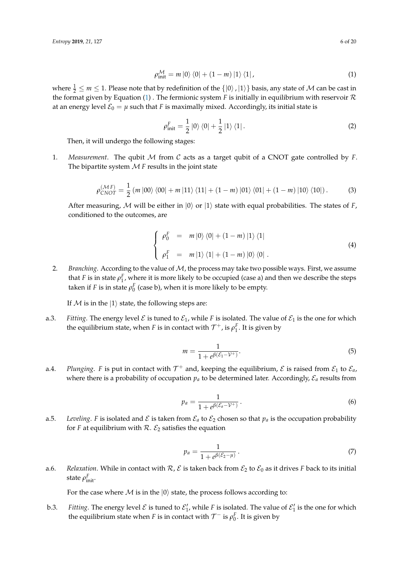<span id="page-5-0"></span>
$$
\rho_{\text{init}}^{\mathcal{M}} = m \left| 0 \right\rangle \left\langle 0 \right| + \left( 1 - m \right) \left| 1 \right\rangle \left\langle 1 \right|, \tag{1}
$$

where  $\frac{1}{2} \le m \le 1$ . Please note that by redefinition of the  $\{|0\rangle, |1\rangle\}$  basis, any state of M can be cast in the format given by Equation [\(1\)](#page-5-0) . The fermionic system *F* is initially in equilibrium with reservoir  $\mathcal R$ at an energy level  $\mathcal{E}_0 = \mu$  such that *F* is maximally mixed. Accordingly, its initial state is

$$
\rho_{\text{init}}^F = \frac{1}{2} \left| 0 \right\rangle \left\langle 0 \right| + \frac{1}{2} \left| 1 \right\rangle \left\langle 1 \right|.
$$
 (2)

Then, it will undergo the following stages:

1. *Measurement*. The qubit M from C acts as a target qubit of a CNOT gate controlled by *F*. The bipartite system  $M$   $F$  results in the joint state

$$
\rho_{CNOT}^{(\mathcal{M}F)} = \frac{1}{2} (m |00\rangle \langle 00| + m |11\rangle \langle 11| + (1 - m) |01\rangle \langle 01| + (1 - m) |10\rangle \langle 10|).
$$
 (3)

After measuring, M will be either in  $|0\rangle$  or  $|1\rangle$  state with equal probabilities. The states of *F*, conditioned to the outcomes, are

$$
\begin{cases}\n\rho_0^F = m |0\rangle \langle 0| + (1 - m) |1\rangle \langle 1| \\
\rho_1^F = m |1\rangle \langle 1| + (1 - m) |0\rangle \langle 0| .\n\end{cases}
$$
\n(4)

2. *Branching*. According to the value of M, the process may take two possible ways. First, we assume that *F* is in state  $\rho_1^F$ , where it is more likely to be occupied (case a) and then we describe the steps taken if *F* is in state  $\rho_0^F$  (case b), when it is more likely to be empty.

If  $M$  is in the  $|1\rangle$  state, the following steps are:

a.3. *Fitting*. The energy level  $\mathcal E$  is tuned to  $\mathcal E_1$ , while *F* is isolated. The value of  $\mathcal E_1$  is the one for which the equilibrium state, when *F* is in contact with  $\mathcal{T}^+$ , is  $\rho_1^F$ . It is given by

$$
m = \frac{1}{1 + e^{\beta(\mathcal{E}_1 - \mathcal{V}^+)}}.\tag{5}
$$

a.4. *Plunging*. *F* is put in contact with  $\mathcal{T}^+$  and, keeping the equilibrium,  $\mathcal{E}$  is raised from  $\mathcal{E}_1$  to  $\mathcal{E}_a$ , where there is a probability of occupation  $p_a$  to be determined later. Accordingly,  $\mathcal{E}_a$  results from

<span id="page-5-2"></span>
$$
p_a = \frac{1}{1 + e^{\beta(\mathcal{E}_a - \mathcal{V}^+)}}.
$$
\n(6)

a.5. *Leveling*. *F* is isolated and  $\mathcal E$  is taken from  $\mathcal E_a$  to  $\mathcal E_2$  chosen so that  $p_a$  is the occupation probability for *F* at equilibrium with  $R$ .  $\mathcal{E}_2$  satisfies the equation

<span id="page-5-1"></span>
$$
p_a = \frac{1}{1 + e^{\beta(\mathcal{E}_2 - \mu)}}.
$$
\n(7)

a.6. *Relaxation*. While in contact with  $\mathcal{R}, \mathcal{E}$  is taken back from  $\mathcal{E}_2$  to  $\mathcal{E}_0$  as it drives *F* back to its initial state  $ρ_{\text{init}}^F$ .

For the case where  $M$  is in the  $|0\rangle$  state, the process follows according to:

b.3. Fitting. The energy level  $\mathcal E$  is tuned to  $\mathcal E'_1$ , while F is isolated. The value of  $\mathcal E'_1$  is the one for which the equilibrium state when *F* is in contact with  $\mathcal{T}^-$  is  $\rho_0^F$ . It is given by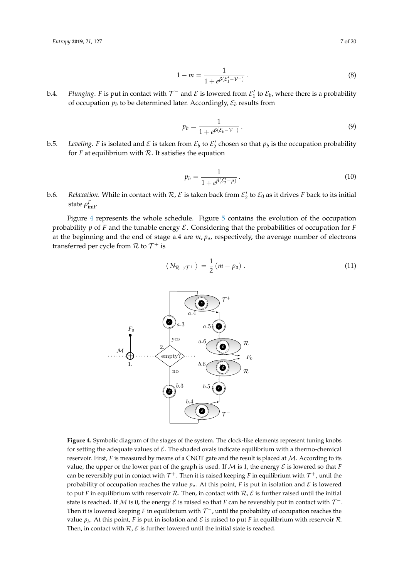$$
1 - m = \frac{1}{1 + e^{\beta(\mathcal{E}_1' - \mathcal{V}^-)}}.
$$
\n(8)

b.4. *Plunging*. F is put in contact with  $\mathcal{T}^-$  and  $\mathcal E$  is lowered from  $\mathcal E'_1$  to  $\mathcal E_b$ , where there is a probability of occupation  $p_b$  to be determined later. Accordingly,  $\mathcal{E}_b$  results from

<span id="page-6-2"></span>
$$
p_b = \frac{1}{1 + e^{\beta(\mathcal{E}_b - \mathcal{V}^-)}}.
$$
\n(9)

b.5. *Leveling*. F is isolated and  $\mathcal E$  is taken from  $\mathcal E_b$  to  $\mathcal E'_2$  chosen so that  $p_b$  is the occupation probability for  $F$  at equilibrium with  $R$ . It satisfies the equation

<span id="page-6-1"></span>
$$
p_b = \frac{1}{1 + e^{\beta(\mathcal{E}'_2 - \mu)}}.
$$
\n(10)

b.6. *Relaxation*. While in contact with  $R$ ,  $\mathcal E$  is taken back from  $\mathcal E'_2$  to  $\mathcal E_0$  as it drives F back to its initial state  $ρ<sub>init</sub><sup>F</sup>$ .

Figure [4](#page-6-0) represents the whole schedule. Figure [5](#page-7-0) contains the evolution of the occupation probability  $p$  of  $F$  and the tunable energy  $E$ . Considering that the probabilities of occupation for  $F$ at the beginning and the end of stage a.4 are *m*, *pa*, respectively, the average number of electrons transferred per cycle from  $\mathcal R$  to  $\mathcal T^+$  is

$$
\langle N_{\mathcal{R}\rightarrow\mathcal{T}^+}\rangle = \frac{1}{2}(m-p_a) \ . \tag{11}
$$

<span id="page-6-0"></span>

**Figure 4.** Symbolic diagram of the stages of the system. The clock-like elements represent tuning knobs for setting the adequate values of  $\mathcal E$ . The shaded ovals indicate equilibrium with a thermo-chemical reservoir. First,  $F$  is measured by means of a CNOT gate and the result is placed at  $M$ . According to its value, the upper or the lower part of the graph is used. If  $M$  is 1, the energy  $\mathcal E$  is lowered so that  $F$ can be reversibly put in contact with  $\mathcal{T}^+$ . Then it is raised keeping  $F$  in equilibrium with  $\mathcal{T}^+$ , until the probability of occupation reaches the value  $p_a$ . At this point, *F* is put in isolation and *E* is lowered to put *F* in equilibrium with reservoir R. Then, in contact with  $R$ ,  $\mathcal{E}$  is further raised until the initial state is reached. If  ${\cal M}$  is 0, the energy  ${\cal E}$  is raised so that  $F$  can be reversibly put in contact with  ${\cal T}^-$ . Then it is lowered keeping  $F$  in equilibrium with  $\mathcal{T}^-$ , until the probability of occupation reaches the value  $p_b$ . At this point, F is put in isolation and  ${\cal E}$  is raised to put F in equilibrium with reservoir  ${\cal R}.$ Then, in contact with  $\mathcal{R}, \mathcal{E}$  is further lowered until the initial state is reached.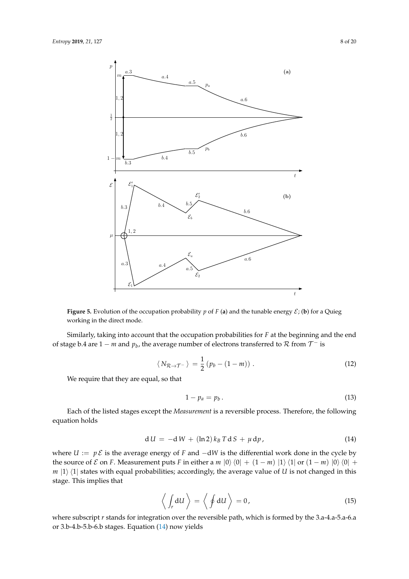<span id="page-7-0"></span>

**Figure 5.** Evolution of the occupation probability  $p$  of  $F$  (a) and the tunable energy  $E$ ; (b) for a Quieg working in the direct mode.

Similarly, taking into account that the occupation probabilities for *F* at the beginning and the end of stage b.4 are  $1 - m$  and  $p_b$ , the average number of electrons transferred to  $\mathcal R$  from  $\mathcal T^-$  is

$$
\langle N_{\mathcal{R}\rightarrow\mathcal{T}^-} \rangle = \frac{1}{2} \left( p_b - (1 - m) \right). \tag{12}
$$

We require that they are equal, so that

<span id="page-7-2"></span>
$$
1 - p_a = p_b. \tag{13}
$$

Each of the listed stages except the *Measurement* is a reversible process. Therefore, the following equation holds

<span id="page-7-1"></span>
$$
dU = -dW + (\ln 2) k_B T dS + \mu dp, \qquad (14)
$$

where  $U := p \mathcal{E}$  is the average energy of *F* and  $-dW$  is the differential work done in the cycle by the source of  $\mathcal E$  on  $F$ . Measurement puts  $F$  in either a  $m |0\rangle\langle 0| + (1 - m) |1\rangle\langle 1|$  or  $(1 - m) |0\rangle\langle 0| +$  $m \vert 1 \rangle$   $\langle 1 \vert$  states with equal probabilities; accordingly, the average value of *U* is not changed in this stage. This implies that

$$
\left\langle \int_{r} \mathrm{d}U \right\rangle = \left\langle \oint \mathrm{d}U \right\rangle = 0, \tag{15}
$$

where subscript *r* stands for integration over the reversible path, which is formed by the 3.a-4.a-5.a-6.a or 3.b-4.b-5.b-6.b stages. Equation [\(14\)](#page-7-1) now yields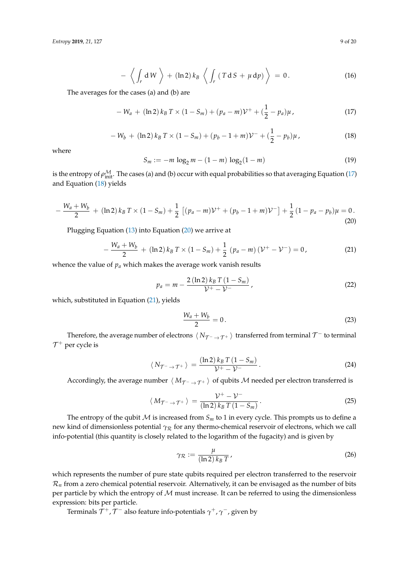$$
- \left\langle \int_{r} dW \right\rangle + (\ln 2) k_{B} \left\langle \int_{r} (T dS + \mu d\rho) \right\rangle = 0.
$$
 (16)

The averages for the cases (a) and (b) are

<span id="page-8-0"></span>
$$
-W_a + (\ln 2) k_B T \times (1 - S_m) + (p_a - m) \mathcal{V}^+ + (\frac{1}{2} - p_a) \mu, \qquad (17)
$$

<span id="page-8-1"></span>
$$
-W_b + (\ln 2) k_B T \times (1 - S_m) + (p_b - 1 + m) \mathcal{V}^- + (\frac{1}{2} - p_b) \mu, \qquad (18)
$$

where

$$
S_m := -m \log_2 m - (1 - m) \log_2 (1 - m)
$$
 (19)

is the entropy of  $\rho_{\rm init}^{\cal M}$ . The cases (a) and (b) occur with equal probabilities so that averaging Equation [\(17\)](#page-8-0) and Equation [\(18\)](#page-8-1) yields

<span id="page-8-2"></span>
$$
-\frac{W_a+W_b}{2} + (\ln 2) k_B T \times (1-S_m) + \frac{1}{2} \left[ (p_a-m)\mathcal{V}^+ + (p_b-1+m)\mathcal{V}^- \right] + \frac{1}{2} (1-p_a-p_b)\mu = 0. \tag{20}
$$

Plugging Equation [\(13\)](#page-7-2) into Equation [\(20\)](#page-8-2) we arrive at

<span id="page-8-3"></span>
$$
-\frac{W_a+W_b}{2} + (\ln 2) k_B T \times (1-S_m) + \frac{1}{2} (p_a-m) (\mathcal{V}^+ - \mathcal{V}^-) = 0, \qquad (21)
$$

whence the value of  $p_a$  which makes the average work vanish results

<span id="page-8-6"></span>
$$
p_a = m - \frac{2\left(\ln 2\right)k_B T\left(1 - S_m\right)}{\mathcal{V}^+ - \mathcal{V}^-},\tag{22}
$$

which, substituted in Equation [\(21\)](#page-8-3), yields

<span id="page-8-5"></span>
$$
\frac{W_a + W_b}{2} = 0.
$$
\n<sup>(23)</sup>

Therefore, the average number of electrons  $\langle N_{\mathcal{T}^{-} \to \mathcal{T}^{+}} \rangle$  transferred from terminal  $\mathcal{T}^{-}$  to terminal  $\mathcal{T}^+$  per cycle is

<span id="page-8-4"></span>
$$
\langle N_{\mathcal{T}^{-}\to\mathcal{T}^{+}}\rangle = \frac{(\ln 2) k_{B} T (1 - S_{m})}{\mathcal{V}^{+} - \mathcal{V}^{-}}.
$$
 (24)

Accordingly, the average number  $\langle M_{\tau^- \to \tau^+} \rangle$  of qubits M needed per electron transferred is

$$
\langle M_{\mathcal{T}^{-}\to\mathcal{T}^{+}}\rangle = \frac{\mathcal{V}^{+}-\mathcal{V}^{-}}{(\ln 2) k_{B} T (1-S_{m})}.
$$
 (25)

The entropy of the qubit  $M$  is increased from  $S_m$  to 1 in every cycle. This prompts us to define a new kind of dimensionless potential *γ*<sub>R</sub> for any thermo-chemical reservoir of electrons, which we call info-potential (this quantity is closely related to the logarithm of the fugacity) and is given by

$$
\gamma_{\mathcal{R}} := \frac{\mu}{(\ln 2) k_B T} \tag{26}
$$

which represents the number of pure state qubits required per electron transferred to the reservoir  $\mathcal{R}_n$  from a zero chemical potential reservoir. Alternatively, it can be envisaged as the number of bits per particle by which the entropy of  $M$  must increase. It can be referred to using the dimensionless expression: bits per particle.

Terminals T <sup>+</sup>, <sup>T</sup> − also feature info-potentials *γ* <sup>+</sup>, *γ* −, given by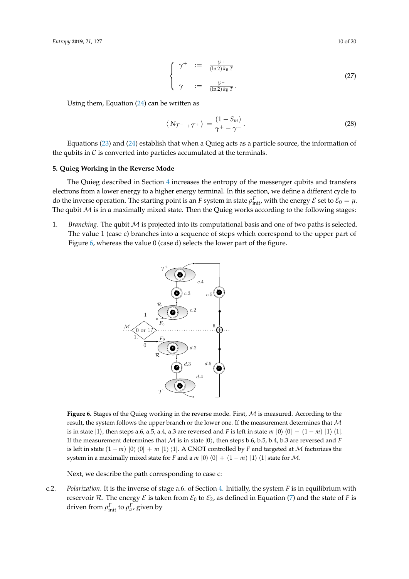$$
\begin{cases}\n\gamma^+ & := \frac{\mathcal{V}^+}{(\ln 2) k_B T} \\
\gamma^- & := \frac{\mathcal{V}^-}{(\ln 2) k_B T}.\n\end{cases}
$$
\n(27)

Using them, Equation [\(24\)](#page-8-4) can be written as

$$
\langle N_{\mathcal{T}^{-} \to \mathcal{T}^{+}} \rangle = \frac{(1 - S_m)}{\gamma^{+} - \gamma^{-}}.
$$
 (28)

Equations [\(23\)](#page-8-5) and [\(24\)](#page-8-4) establish that when a Quieg acts as a particle source, the information of the qubits in  $\mathcal C$  is converted into particles accumulated at the terminals.

# <span id="page-9-0"></span>**5. Quieg Working in the Reverse Mode**

The Quieg described in Section [4](#page-4-0) increases the entropy of the messenger qubits and transfers electrons from a lower energy to a higher energy terminal. In this section, we define a different cycle to do the inverse operation. The starting point is an *F* system in state  $\rho_{init}^F$ , with the energy  $\mathcal E$  set to  $\mathcal E_0 = \mu$ . The qubit  $M$  is in a maximally mixed state. Then the Quieg works according to the following stages:

<span id="page-9-1"></span>1. *Branching*. The qubit M is projected into its computational basis and one of two paths is selected. The value 1 (case c) branches into a sequence of steps which correspond to the upper part of Figure [6,](#page-9-1) whereas the value 0 (case d) selects the lower part of the figure.



**Figure 6.** Stages of the Quieg working in the reverse mode. First, M is measured. According to the result, the system follows the upper branch or the lower one. If the measurement determines that  $M$ is in state  $|1\rangle$ , then steps a.6, a.5, a.4, a.3 are reversed and *F* is left in state *m*  $|0\rangle\langle0| + (1 - m) |1\rangle\langle1|$ . If the measurement determines that  $M$  is in state  $|0\rangle$ , then steps b.6, b.5, b.4, b.3 are reversed and *F* is left in state  $(1 - m)$  |0)  $\langle 0 \rangle + m$  |1)  $\langle 1 \rangle$ . A CNOT controlled by *F* and targeted at *M* factorizes the system in a maximally mixed state for *F* and a  $m |0\rangle\langle 0| + (1 - m) |1\rangle\langle 1|$  state for M.

Next, we describe the path corresponding to case c:

c.2. *Polarization*. It is the inverse of stage a.6. of Section [4.](#page-4-0) Initially, the system *F* is in equilibrium with reservoir  $R$ . The energy  $\mathcal E$  is taken from  $\mathcal E_0$  to  $\mathcal E_2$ , as defined in Equation [\(7\)](#page-5-1) and the state of *F* is driven from  $\rho_{\text{init}}^F$  to  $\rho_a^F$ , given by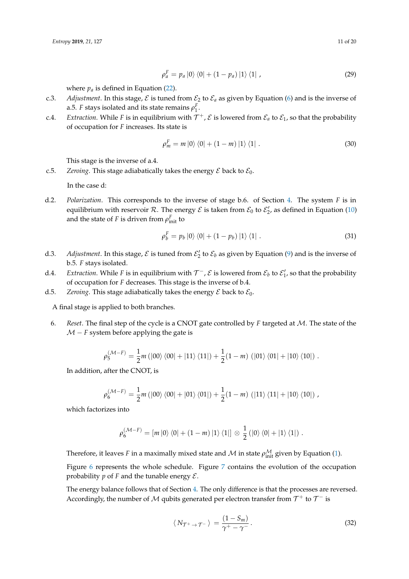$$
\rho_a^F = p_a |0\rangle \langle 0| + (1 - p_a) |1\rangle \langle 1| \tag{29}
$$

where  $p_a$  is defined in Equation [\(22\)](#page-8-6).

- c.3. *Adjustment*. In this stage,  $\mathcal E$  is tuned from  $\mathcal E_2$  to  $\mathcal E_a$  as given by Equation [\(6\)](#page-5-2) and is the inverse of a.5. *F* stays isolated and its state remains  $\rho_1^F$ .
- c.4. *Extraction*. While *F* is in equilibrium with  $\mathcal{T}^+$ ,  $\mathcal{E}$  is lowered from  $\mathcal{E}_a$  to  $\mathcal{E}_1$ , so that the probability of occupation for *F* increases. Its state is

$$
\rho_m^F = m \left| 0 \right\rangle \left\langle 0 \right| + \left( 1 - m \right) \left| 1 \right\rangle \left\langle 1 \right| \,. \tag{30}
$$

This stage is the inverse of a.4.

c.5. *Zeroing*. This stage adiabatically takes the energy  $\mathcal E$  back to  $\mathcal E_0$ .

In the case d:

d.2. *Polarization*. This corresponds to the inverse of stage b.6. of Section [4.](#page-4-0) The system *F* is in equilibrium with reservoir  $R$ . The energy  $\mathcal E$  is taken from  $\mathcal E_0$  to  $\mathcal E'_2$ , as defined in Equation [\(10\)](#page-6-1) and the state of *F* is driven from  $\rho_{\text{init}}^F$  to

$$
\rho_b^F = p_b \left| 0 \right\rangle \left\langle 0 \right| + \left( 1 - p_b \right) \left| 1 \right\rangle \left\langle 1 \right| \,. \tag{31}
$$

- d.3. Adjustment. In this stage,  $\mathcal E$  is tuned from  $\mathcal E'_2$  to  $\mathcal E_b$  as given by Equation [\(9\)](#page-6-2) and is the inverse of b.5. *F* stays isolated.
- d.4. Extraction. While F is in equilibrium with  $\mathcal{T}^-$ ,  $\mathcal E$  is lowered from  $\mathcal E_b$  to  $\mathcal E'_1$ , so that the probability of occupation for *F* decreases. This stage is the inverse of b.4.
- d.5. *Zeroing*. This stage adiabatically takes the energy  $\mathcal E$  back to  $\mathcal E_0$ .

A final stage is applied to both branches.

6. *Reset*. The final step of the cycle is a CNOT gate controlled by *F* targeted at M. The state of the  $M - F$  system before applying the gate is

$$
\rho_5^{(\mathcal{M}-F)} = \frac{1}{2}m \left( \left| 00 \right\rangle \left\langle 00 \right| + \left| 11 \right\rangle \left\langle 11 \right| \right) + \frac{1}{2}(1-m) \left( \left| 01 \right\rangle \left\langle 01 \right| + \left| 10 \right\rangle \left\langle 10 \right| \right).
$$

In addition, after the CNOT, is

$$
\rho_6^{(\mathcal{M}-F)} = \frac{1}{2}m (\left|00\right\rangle \left\langle 00\right| + \left|01\right\rangle \left\langle 01\right|) + \frac{1}{2}(1-m) (\left|11\right\rangle \left\langle 11\right| + \left|10\right\rangle \left\langle 10\right|) ,
$$

which factorizes into

$$
\rho_6^{(\mathcal{M}-F)} = [m |0\rangle \langle 0| + (1-m) |1\rangle \langle 1|] \otimes \frac{1}{2} (|0\rangle \langle 0| + |1\rangle \langle 1|).
$$

Therefore, it leaves *F* in a maximally mixed state and  $M$  in state  $\rho_{\text{init}}^{\mathcal{M}}$  given by Equation [\(1\)](#page-5-0).

Figure [6](#page-9-1) represents the whole schedule. Figure [7](#page-11-1) contains the evolution of the occupation probability  $p$  of  $F$  and the tunable energy  $\mathcal{E}$ .

The energy balance follows that of Section [4.](#page-4-0) The only difference is that the processes are reversed. Accordingly, the number of  ${\mathcal M}$  qubits generated per electron transfer from  ${\mathcal T}^+$  to  ${\mathcal T}^-$  is

$$
\langle N_{\mathcal{T}^+ \to \mathcal{T}^-} \rangle = \frac{(1 - S_m)}{\gamma^+ - \gamma^-}.
$$
 (32)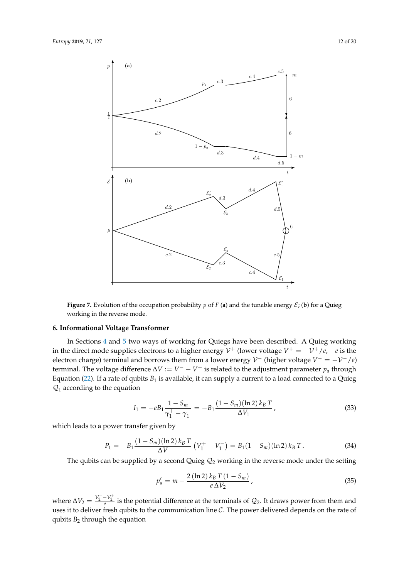

<span id="page-11-1"></span>

**Figure 7.** Evolution of the occupation probability *p* of *F* (a) and the tunable energy  $\mathcal{E}$ ; (b) for a Quieg working in the reverse mode.

# <span id="page-11-0"></span>**6. Informational Voltage Transformer**

In Sections [4](#page-4-0) and [5](#page-9-0) two ways of working for Quiegs have been described. A Quieg working in the direct mode supplies electrons to a higher energy  $\mathcal{V}^+$  (lower voltage  $V^+ = -\mathcal{V}^+/\mathit{e}, -\mathit{e}$  is the electron charge) terminal and borrows them from a lower energy  $\mathcal{V}^-$  (higher voltage  $V^- = -\mathcal{V}^-/e$ ) terminal. The voltage difference  $\Delta V := V^- - V^+$  is related to the adjustment parameter  $p_a$  through Equation [\(22\)](#page-8-6). If a rate of qubits  $B_1$  is available, it can supply a current to a load connected to a Quieg  $Q_1$  according to the equation

$$
I_1 = -eB_1 \frac{1 - S_m}{\gamma_1^+ - \gamma_1^-} = -B_1 \frac{(1 - S_m)(\ln 2) k_B T}{\Delta V_1},
$$
\n(33)

which leads to a power transfer given by

<span id="page-11-2"></span>
$$
P_1 = -B_1 \frac{(1 - S_m)(\ln 2) k_B T}{\Delta V} (V_1^+ - V_1^-) = B_1 (1 - S_m)(\ln 2) k_B T.
$$
 (34)

The qubits can be supplied by a second Quieg  $\mathcal{Q}_2$  working in the reverse mode under the setting

$$
p'_a = m - \frac{2\left(\ln 2\right)k_B T\left(1 - S_m\right)}{e\,\Delta V_2} \,,\tag{35}
$$

where  $\Delta V_2 = \frac{V_2^- - V_2^+}{e}$  is the potential difference at the terminals of  $\mathcal{Q}_2$ . It draws power from them and uses it to deliver fresh qubits to the communication line  $C$ . The power delivered depends on the rate of qubits  $B_2$  through the equation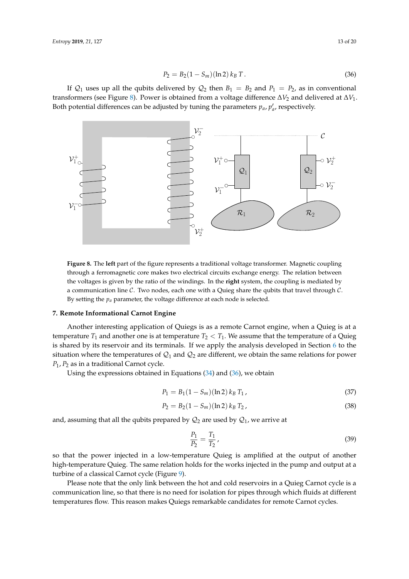<span id="page-12-2"></span>
$$
P_2 = B_2(1 - S_m)(\ln 2) k_B T.
$$
\n(36)

If  $Q_1$  uses up all the qubits delivered by  $Q_2$  then  $B_1 = B_2$  and  $P_1 = P_2$ , as in conventional transformers (see Figure [8\)](#page-12-1). Power is obtained from a voltage difference ∆*V*<sup>2</sup> and delivered at ∆*V*1. Both potential differences can be adjusted by tuning the parameters  $p_a$ ,  $p'_a$ , respectively.

<span id="page-12-1"></span>

**Figure 8.** The **left** part of the figure represents a traditional voltage transformer. Magnetic coupling through a ferromagnetic core makes two electrical circuits exchange energy. The relation between the voltages is given by the ratio of the windings. In the **right** system, the coupling is mediated by a communication line  $C$ . Two nodes, each one with a Quieg share the qubits that travel through  $C$ . By setting the  $p_a$  parameter, the voltage difference at each node is selected.

# <span id="page-12-0"></span>**7. Remote Informational Carnot Engine**

Another interesting application of Quiegs is as a remote Carnot engine, when a Quieg is at a temperature  $T_1$  and another one is at temperature  $T_2 < T_1$ . We assume that the temperature of a Quieg is shared by its reservoir and its terminals. If we apply the analysis developed in Section  $6$  to the situation where the temperatures of  $\mathcal{Q}_1$  and  $\mathcal{Q}_2$  are different, we obtain the same relations for power *P*1, *P*<sup>2</sup> as in a traditional Carnot cycle.

Using the expressions obtained in Equations [\(34\)](#page-11-2) and [\(36\)](#page-12-2), we obtain

$$
P_1 = B_1(1 - S_m)(\ln 2) k_B T_1, \qquad (37)
$$

$$
P_2 = B_2(1 - S_m)(\ln 2) k_B T_2, \qquad (38)
$$

and, assuming that all the qubits prepared by  $\mathcal{Q}_2$  are used by  $\mathcal{Q}_1$ , we arrive at

$$
\frac{P_1}{P_2} = \frac{T_1}{T_2},\tag{39}
$$

so that the power injected in a low-temperature Quieg is amplified at the output of another high-temperature Quieg. The same relation holds for the works injected in the pump and output at a turbine of a classical Carnot cycle (Figure [9\)](#page-13-1).

Please note that the only link between the hot and cold reservoirs in a Quieg Carnot cycle is a communication line, so that there is no need for isolation for pipes through which fluids at different temperatures flow. This reason makes Quiegs remarkable candidates for remote Carnot cycles.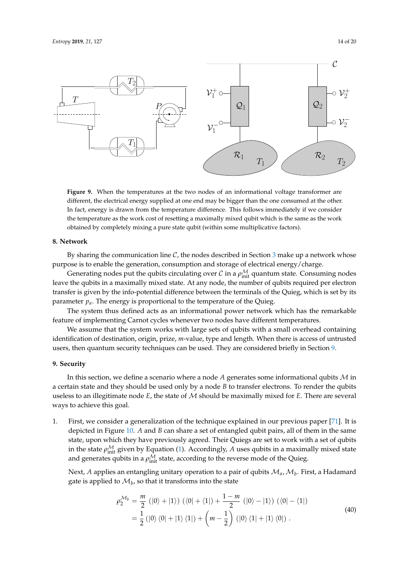<span id="page-13-1"></span>

**Figure 9.** When the temperatures at the two nodes of an informational voltage transformer are different, the electrical energy supplied at one end may be bigger than the one consumed at the other. In fact, energy is drawn from the temperature difference. This follows immediately if we consider the temperature as the work cost of resetting a maximally mixed qubit which is the same as the work obtained by completely mixing a pure state qubit (within some multiplicative factors).

#### <span id="page-13-2"></span>**8. Network**

By sharing the communication line  $C$ , the nodes described in Section [3](#page-3-0) make up a network whose purpose is to enable the generation, consumption and storage of electrical energy/charge.

Generating nodes put the qubits circulating over  $\mathcal C$  in a  $\rho_{\rm init}^{\mathcal M}$  quantum state. Consuming nodes leave the qubits in a maximally mixed state. At any node, the number of qubits required per electron transfer is given by the info-potential difference between the terminals of the Quieg, which is set by its parameter *pa*. The energy is proportional to the temperature of the Quieg.

The system thus defined acts as an informational power network which has the remarkable feature of implementing Carnot cycles whenever two nodes have different temperatures.

We assume that the system works with large sets of qubits with a small overhead containing identification of destination, origin, prize, *m*-value, type and length. When there is access of untrusted users, then quantum security techniques can be used. They are considered briefly in Section [9.](#page-13-0)

# <span id="page-13-0"></span>**9. Security**

In this section, we define a scenario where a node *A* generates some informational qubits M in a certain state and they should be used only by a node *B* to transfer electrons. To render the qubits useless to an illegitimate node *E*, the state of M should be maximally mixed for *E*. There are several ways to achieve this goal.

1. First, we consider a generalization of the technique explained in our previous paper [\[71\]](#page-19-13). It is depicted in Figure [10.](#page-14-0) *A* and *B* can share a set of entangled qubit pairs, all of them in the same state, upon which they have previously agreed. Their Quiegs are set to work with a set of qubits in the state  $\rho_{\text{init}}^{\mathcal{M}}$  given by Equation [\(1\)](#page-5-0). Accordingly, *A* uses qubits in a maximally mixed state and generates qubits in a  $\rho_{\rm init}^{\cal M}$  state, according to the reverse mode of the Quieg.

Next*, A* applies an entangling unitary operation to a pair of qubits  $\mathcal{M}_\mathit{a}$ ,  $\mathcal{M}_\mathit{b}$ . First, a Hadamard gate is applied to  $\mathcal{M}_b$ , so that it transforms into the state

$$
\rho_2^{\mathcal{M}_b} = \frac{m}{2} \left( |0\rangle + |1\rangle \right) \left( \langle 0| + \langle 1| \right) + \frac{1 - m}{2} \left( |0\rangle - |1\rangle \right) \left( \langle 0| - \langle 1| \right) \n= \frac{1}{2} \left( |0\rangle \langle 0| + |1\rangle \langle 1| \right) + \left( m - \frac{1}{2} \right) \left( |0\rangle \langle 1| + |1\rangle \langle 0| \right).
$$
\n(40)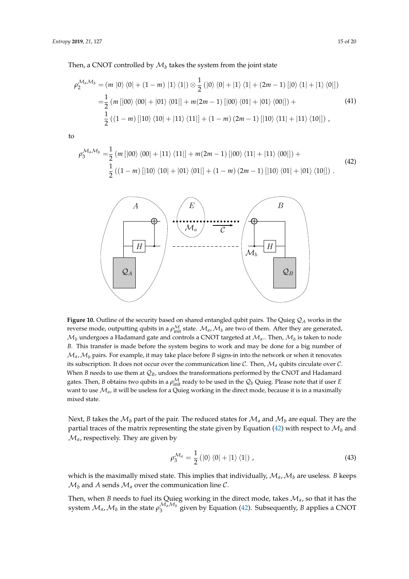$$
\rho_2^{\mathcal{M}_a \mathcal{M}_b} = (m |0\rangle \langle 0| + (1 - m) |1\rangle \langle 1|) \otimes \frac{1}{2} (|0\rangle \langle 0| + |1\rangle \langle 1| + (2m - 1) [|0\rangle \langle 1| + |1\rangle \langle 0|])
$$
  
=  $\frac{1}{2} (m |00\rangle \langle 00| + |01\rangle \langle 01|] + m(2m - 1) [|00\rangle \langle 01| + |01\rangle \langle 00|]) +$   
 $\frac{1}{2} ((1 - m) [|10\rangle \langle 10| + |11\rangle \langle 11|] + (1 - m) (2m - 1) [|10\rangle \langle 11| + |11\rangle \langle 10|]) ,$  (41)

to

<span id="page-14-1"></span>
$$
\rho_3^{\mathcal{M}_a \mathcal{M}_b} = \frac{1}{2} (m \left[ |00\rangle \langle 00| + |11\rangle \langle 11| \right] + m(2m - 1) \left[ |00\rangle \langle 11| + |11\rangle \langle 00| \right]) + \frac{1}{2} ((1 - m) \left[ |10\rangle \langle 10| + |01\rangle \langle 01| \right] + (1 - m) (2m - 1) \left[ |10\rangle \langle 01| + |01\rangle \langle 10| \right]).
$$
\n(42)

<span id="page-14-0"></span>

**Figure 10.** Outline of the security based on shared entangled qubit pairs. The Quieg  $Q_A$  works in the reverse mode, outputting qubits in a  $\rho_{\text{init}}^{\mathcal{M}}$  state.  $\mathcal{M}_a$ ,  $\mathcal{M}_b$  are two of them. After they are generated,  $\mathcal{M}_b$  undergoes a Hadamard gate and controls a CNOT targeted at  $\mathcal{M}_a$ .. Then,  $\mathcal{M}_b$  is taken to node *B*. This transfer is made before the system begins to work and may be done for a big number of  $\mathcal{M}_a$ ,  $\mathcal{M}_b$  pairs. For example, it may take place before *B* signs-in into the network or when it renovates its subscription. It does not occur over the communication line  $C$ . Then,  $M_a$  qubits circulate over  $C$ . When *B* needs to use them at  $\mathcal{Q}_B$ , undoes the transformations performed by the CNOT and Hadamard gates. Then*, B* obtains two qubits in a  $\rho_{\rm init}^\mathcal{M}$  ready to be used in the  $\mathcal{Q}_b$  Quieg. Please note that if user *E* want to use  $\mathcal{M}_a$ , it will be useless for a Quieg working in the direct mode, because it is in a maximally mixed state.

Next, *B* takes the  $M_h$  part of the pair. The reduced states for  $M_a$  and  $M_h$  are equal. They are the partial traces of the matrix representing the state given by Equation [\(42\)](#page-14-1) with respect to  $\mathcal{M}_b$  and  $\mathcal{M}_a$ , respectively. They are given by

$$
\rho_3^{\mathcal{M}_a} = \frac{1}{2} (|0\rangle \langle 0| + |1\rangle \langle 1|) , \qquad (43)
$$

which is the maximally mixed state. This implies that individually,  $\mathcal{M}_a$ ,  $\mathcal{M}_b$  are useless. *B* keeps  $\mathcal{M}_b$  and *A* sends  $\mathcal{M}_a$  over the communication line C.

Then, when *B* needs to fuel its Quieg working in the direct mode, takes M*a*, so that it has the system  $\mathcal{M}_a$ ,  $\mathcal{M}_b$  in the state  $\rho_3^{\mathcal{M}_a\mathcal{M}_b}$  given by Equation [\(42\)](#page-14-1). Subsequently, *B* applies a CNOT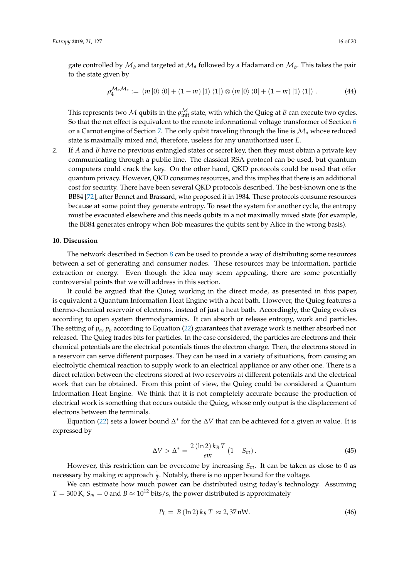gate controlled by  $\mathcal{M}_b$  and targeted at  $\mathcal{M}_a$  followed by a Hadamard on  $\mathcal{M}_b.$  This takes the pair to the state given by

$$
\rho_4^{\mathcal{M}_a \mathcal{M}_a} := (m |0\rangle \langle 0| + (1 - m) |1\rangle \langle 1|) \otimes (m |0\rangle \langle 0| + (1 - m) |1\rangle \langle 1|) . \tag{44}
$$

This represents two  $\mathcal M$  qubits in the  $\rho_{\rm init}^{\mathcal M}$  state, with which the Quieg at *B* can execute two cycles. So that the net effect is equivalent to the remote informational voltage transformer of Section [6](#page-11-0) or a Carnot engine of Section [7.](#page-12-0) The only qubit traveling through the line is M*<sup>a</sup>* whose reduced state is maximally mixed and, therefore, useless for any unauthorized user *E*.

2. If *A* and *B* have no previous entangled states or secret key, then they must obtain a private key communicating through a public line. The classical RSA protocol can be used, but quantum computers could crack the key. On the other hand, QKD protocols could be used that offer quantum privacy. However, QKD consumes resources, and this implies that there is an additional cost for security. There have been several QKD protocols described. The best-known one is the BB84 [\[72\]](#page-19-14), after Bennet and Brassard, who proposed it in 1984. These protocols consume resources because at some point they generate entropy. To reset the system for another cycle, the entropy must be evacuated elsewhere and this needs qubits in a not maximally mixed state (for example, the BB84 generates entropy when Bob measures the qubits sent by Alice in the wrong basis).

#### <span id="page-15-0"></span>**10. Discussion**

The network described in Section [8](#page-13-2) can be used to provide a way of distributing some resources between a set of generating and consumer nodes. These resources may be information, particle extraction or energy. Even though the idea may seem appealing, there are some potentially controversial points that we will address in this section.

It could be argued that the Quieg working in the direct mode, as presented in this paper, is equivalent a Quantum Information Heat Engine with a heat bath. However, the Quieg features a thermo-chemical reservoir of electrons, instead of just a heat bath. Accordingly, the Quieg evolves according to open system thermodynamics. It can absorb or release entropy, work and particles. The setting of  $p_a$ ,  $p_b$  according to Equation [\(22\)](#page-8-6) guarantees that average work is neither absorbed nor released. The Quieg trades bits for particles. In the case considered, the particles are electrons and their chemical potentials are the electrical potentials times the electron charge. Then, the electrons stored in a reservoir can serve different purposes. They can be used in a variety of situations, from causing an electrolytic chemical reaction to supply work to an electrical appliance or any other one. There is a direct relation between the electrons stored at two reservoirs at different potentials and the electrical work that can be obtained. From this point of view, the Quieg could be considered a Quantum Information Heat Engine. We think that it is not completely accurate because the production of electrical work is something that occurs outside the Quieg, whose only output is the displacement of electrons between the terminals.

Equation [\(22\)](#page-8-6) sets a lower bound ∆ ∗ for the ∆*V* that can be achieved for a given *m* value. It is expressed by

$$
\Delta V > \Delta^* = \frac{2\left(\ln 2\right)k_B T}{em}\left(1 - S_m\right). \tag{45}
$$

However, this restriction can be overcome by increasing *Sm*. It can be taken as close to 0 as necessary by making *m* approach  $\frac{1}{2}$ . Notably, there is no upper bound for the voltage.

We can estimate how much power can be distributed using today's technology. Assuming  $T = 300 \text{ K}$ ,  $S_m = 0$  and  $B \approx 10^{12}$  bits/s, the power distributed is approximately

$$
P_L = B(\ln 2) k_B T \approx 2.37 \,\text{nW}.\tag{46}
$$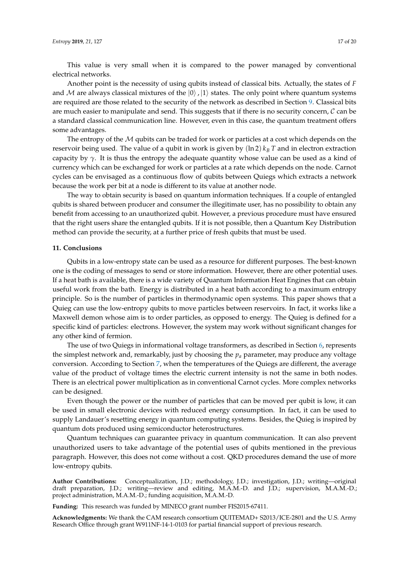This value is very small when it is compared to the power managed by conventional electrical networks.

Another point is the necessity of using qubits instead of classical bits. Actually, the states of *F* and M are always classical mixtures of the  $|0\rangle$ ,  $|1\rangle$  states. The only point where quantum systems are required are those related to the security of the network as described in Section [9.](#page-13-0) Classical bits are much easier to manipulate and send. This suggests that if there is no security concern,  $\mathcal C$  can be a standard classical communication line. However, even in this case, the quantum treatment offers some advantages.

The entropy of the  $M$  qubits can be traded for work or particles at a cost which depends on the reservoir being used. The value of a qubit in work is given by (ln 2) *k<sup>B</sup> T* and in electron extraction capacity by  $\gamma$ . It is thus the entropy the adequate quantity whose value can be used as a kind of currency which can be exchanged for work or particles at a rate which depends on the node. Carnot cycles can be envisaged as a continuous flow of qubits between Quiegs which extracts a network because the work per bit at a node is different to its value at another node.

The way to obtain security is based on quantum information techniques. If a couple of entangled qubits is shared between producer and consumer the illegitimate user, has no possibility to obtain any benefit from accessing to an unauthorized qubit. However, a previous procedure must have ensured that the right users share the entangled qubits. If it is not possible, then a Quantum Key Distribution method can provide the security, at a further price of fresh qubits that must be used.

#### <span id="page-16-0"></span>**11. Conclusions**

Qubits in a low-entropy state can be used as a resource for different purposes. The best-known one is the coding of messages to send or store information. However, there are other potential uses. If a heat bath is available, there is a wide variety of Quantum Information Heat Engines that can obtain useful work from the bath. Energy is distributed in a heat bath according to a maximum entropy principle. So is the number of particles in thermodynamic open systems. This paper shows that a Quieg can use the low-entropy qubits to move particles between reservoirs. In fact, it works like a Maxwell demon whose aim is to order particles, as opposed to energy. The Quieg is defined for a specific kind of particles: electrons. However, the system may work without significant changes for any other kind of fermion.

The use of two Quiegs in informational voltage transformers, as described in Section [6,](#page-11-0) represents the simplest network and, remarkably, just by choosing the  $p_a$  parameter, may produce any voltage conversion. According to Section [7,](#page-12-0) when the temperatures of the Quiegs are different, the average value of the product of voltage times the electric current intensity is not the same in both nodes. There is an electrical power multiplication as in conventional Carnot cycles. More complex networks can be designed.

Even though the power or the number of particles that can be moved per qubit is low, it can be used in small electronic devices with reduced energy consumption. In fact, it can be used to supply Landauer's resetting energy in quantum computing systems. Besides, the Quieg is inspired by quantum dots produced using semiconductor heterostructures.

Quantum techniques can guarantee privacy in quantum communication. It can also prevent unauthorized users to take advantage of the potential uses of qubits mentioned in the previous paragraph. However, this does not come without a cost. QKD procedures demand the use of more low-entropy qubits.

**Author Contributions:** Conceptualization, J.D.; methodology, J.D.; investigation, J.D.; writing—original draft preparation, J.D.; writing—review and editing, M.A.M.-D. and J.D.; supervision, M.A.M.-D.; project administration, M.A.M.-D.; funding acquisition, M.A.M.-D.

**Funding:** This research was funded by MINECO grant number FIS2015-67411.

**Acknowledgments:** We thank the CAM research consortium QUITEMAD+ S2013/ICE-2801 and the U.S. Army Research Office through grant W911NF-14-1-0103 for partial financial support of previous research.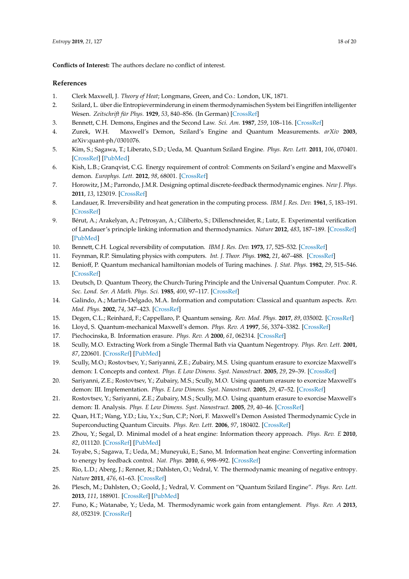**Conflicts of Interest:** The authors declare no conflict of interest.

# **References**

- <span id="page-17-0"></span>1. Clerk Maxwell, J. *Theory of Heat*; Longmans, Green, and Co.: London, UK, 1871.
- <span id="page-17-1"></span>2. Szilard, L. über die Entropieverminderung in einem thermodynamischen System bei Eingriffen intelligenter Wesen. *Zeitschrift für Phys.* **1929**, *53*, 840–856. (In German) [\[CrossRef\]](http://dx.doi.org/10.1007/BF0134128)
- <span id="page-17-2"></span>3. Bennett, C.H. Demons, Engines and the Second Law. *Sci. Am.* **1987**, *259*, 108–116. [\[CrossRef\]](http://dx.doi.org/10.1038/scientificamerican1187-108)
- <span id="page-17-11"></span>4. Zurek, W.H. Maxwell's Demon, Szilard's Engine and Quantum Measurements. *arXiv* **2003**, arXiv:quant-ph/0301076.
- <span id="page-17-12"></span>5. Kim, S.; Sagawa, T.; Liberato, S.D.; Ueda, M. Quantum Szilard Engine. *Phys. Rev. Lett.* **2011**, *106*, 070401. [\[CrossRef\]](http://dx.doi.org/10.1103/PhysRevLett.106.070401) [\[PubMed\]](http://www.ncbi.nlm.nih.gov/pubmed/21405504)
- <span id="page-17-3"></span>6. Kish, L.B.; Granqvist, C.G. Energy requirement of control: Comments on Szilard's engine and Maxwell's demon. *Europhys. Lett.* **2012**, *98*, 68001. [\[CrossRef\]](http://dx.doi.org/10.1209/0295-5075/98/68001)
- <span id="page-17-4"></span>7. Horowitz, J.M.; Parrondo, J.M.R. Designing optimal discrete-feedback thermodynamic engines. *New J. Phys.* **2011**, *13*, 123019. [\[CrossRef\]](http://dx.doi.org/10.1088/1367-2630/13/12/123019)
- <span id="page-17-5"></span>8. Landauer, R. Irreversibility and heat generation in the computing process. *IBM J. Res. Dev.* **1961**, *5*, 183–191. [\[CrossRef\]](http://dx.doi.org/10.1147/rd.53.0183)
- <span id="page-17-6"></span>9. Bérut, A.; Arakelyan, A.; Petrosyan, A.; Ciliberto, S.; Dillenschneider, R.; Lutz, E. Experimental verification of Landauer's principle linking information and thermodynamics. *Nature* **2012**, *483*, 187–189. [\[CrossRef\]](http://dx.doi.org/10.1038/nature10872) [\[PubMed\]](http://www.ncbi.nlm.nih.gov/pubmed/22398556)
- <span id="page-17-7"></span>10. Bennett, C.H. Logical reversibility of computation. *IBM J. Res. Dev.* **1973**, *17*, 525–532. [\[CrossRef\]](http://dx.doi.org/10.1147/rd.176.0525)
- <span id="page-17-8"></span>11. Feynman, R.P. Simulating physics with computers. *Int. J. Theor. Phys.* **1982**, *21*, 467–488. [\[CrossRef\]](http://dx.doi.org/10.1007/BF02650179)
- 12. Benioff, P. Quantum mechanical hamiltonian models of Turing machines. *J. Stat. Phys.* **1982**, *29*, 515–546. [\[CrossRef\]](http://dx.doi.org/10.1007/BF01342185)
- 13. Deutsch, D. Quantum Theory, the Church-Turing Principle and the Universal Quantum Computer. *Proc. R. Soc. Lond. Ser. A Math. Phys. Sci.* **1985**, *400*, 97–117. [\[CrossRef\]](http://dx.doi.org/10.1098/rspa.1985.0070)
- <span id="page-17-9"></span>14. Galindo, A.; Martin-Delgado, M.A. Information and computation: Classical and quantum aspects. *Rev. Mod. Phys.* **2002**, *74*, 347–423. [\[CrossRef\]](http://dx.doi.org/10.1103/RevModPhys.74.347)
- <span id="page-17-10"></span>15. Degen, C.L.; Reinhard, F.; Cappellaro, P. Quantum sensing. *Rev. Mod. Phys.* **2017**, *89*, 035002. [\[CrossRef\]](http://dx.doi.org/10.1103/RevModPhys.89.035002)
- <span id="page-17-13"></span>16. Lloyd, S. Quantum-mechanical Maxwell's demon. *Phys. Rev. A* **1997**, *56*, 3374–3382. [\[CrossRef\]](http://dx.doi.org/10.1103/PhysRevA.56.3374)
- 17. Piechocinska, B. Information erasure. *Phys. Rev. A* **2000**, *61*, 062314. [\[CrossRef\]](http://dx.doi.org/10.1103/PhysRevA.61.062314)
- 18. Scully, M.O. Extracting Work from a Single Thermal Bath via Quantum Negentropy. *Phys. Rev. Lett.* **2001**, *87*, 220601. [\[CrossRef\]](http://dx.doi.org/10.1103/PhysRevLett.87.220601) [\[PubMed\]](http://www.ncbi.nlm.nih.gov/pubmed/11736390)
- 19. Scully, M.O.; Rostovtsev, Y.; Sariyanni, Z.E.; Zubairy, M.S. Using quantum erasure to exorcize Maxwell's demon: I. Concepts and context. *Phys. E Low Dimens. Syst. Nanostruct.* **2005**, *29*, 29–39. [\[CrossRef\]](http://dx.doi.org/10.1016/j.physe.2005.05.046)
- 20. Sariyanni, Z.E.; Rostovtsev, Y.; Zubairy, M.S.; Scully, M.O. Using quantum erasure to exorcize Maxwell's demon: III. Implementation. *Phys. E Low Dimens. Syst. Nanostruct.* **2005**, *29*, 47–52. [\[CrossRef\]](http://dx.doi.org/10.1016/j.physe.2005.05.045)
- 21. Rostovtsev, Y.; Sariyanni, Z.E.; Zubairy, M.S.; Scully, M.O. Using quantum erasure to exorcise Maxwell's demon: II. Analysis. *Phys. E Low Dimens. Syst. Nanostruct.* **2005**, *29*, 40–46. [\[CrossRef\]](http://dx.doi.org/10.1016/j.physe.2005.05.052)
- 22. Quan, H.T.; Wang, Y.D.; Liu, Y.x.; Sun, C.P.; Nori, F. Maxwell's Demon Assisted Thermodynamic Cycle in Superconducting Quantum Circuits. *Phys. Rev. Lett.* **2006**, *97*, 180402. [\[CrossRef\]](http://dx.doi.org/10.1103/PhysRevLett.97.180402)
- 23. Zhou, Y.; Segal, D. Minimal model of a heat engine: Information theory approach. *Phys. Rev. E* **2010**, *82*, 011120. [\[CrossRef\]](http://dx.doi.org/10.1103/PhysRevE.82.011120) [\[PubMed\]](http://www.ncbi.nlm.nih.gov/pubmed/20866578)
- 24. Toyabe, S.; Sagawa, T.; Ueda, M.; Muneyuki, E.; Sano, M. Information heat engine: Converting information to energy by feedback control. *Nat. Phys.* **2010**, *6*, 998–992. [\[CrossRef\]](http://dx.doi.org/10.1038/nphys1821)
- 25. Rio, L.D.; Aberg, J.; Renner, R.; Dahlsten, O.; Vedral, V. The thermodynamic meaning of negative entropy. *Nature* **2011**, *476*, 61–63. [\[CrossRef\]](http://dx.doi.org/10.1038/nature10395)
- 26. Plesch, M.; Dahlsten, O.; Goold, J.; Vedral, V. Comment on "Quantum Szilard Engine". *Phys. Rev. Lett.* **2013**, *111*, 188901. [\[CrossRef\]](http://dx.doi.org/10.1103/PhysRevLett.111.188901) [\[PubMed\]](http://www.ncbi.nlm.nih.gov/pubmed/24237570)
- 27. Funo, K.; Watanabe, Y.; Ueda, M. Thermodynamic work gain from entanglement. *Phys. Rev. A* **2013**, *88*, 052319. [\[CrossRef\]](http://dx.doi.org/10.1103/PhysRevA.88.052319)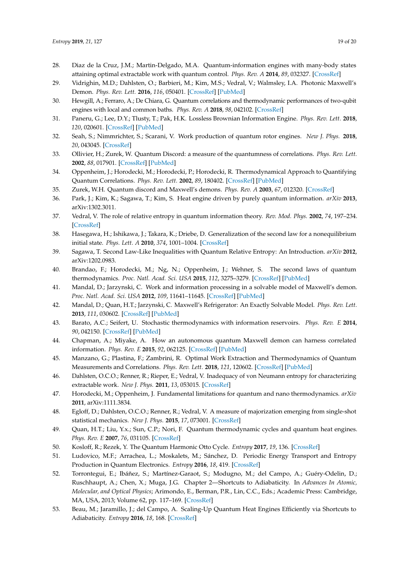- 28. Diaz de la Cruz, J.M.; Martin-Delgado, M.A. Quantum-information engines with many-body states attaining optimal extractable work with quantum control. *Phys. Rev. A* **2014**, *89*, 032327. [\[CrossRef\]](http://dx.doi.org/10.1103/PhysRevA.89.032327)
- 29. Vidrighin, M.D.; Dahlsten, O.; Barbieri, M.; Kim, M.S.; Vedral, V.; Walmsley, I.A. Photonic Maxwell's Demon. *Phys. Rev. Lett.* **2016**, *116*, 050401. [\[CrossRef\]](http://dx.doi.org/10.1103/PhysRevLett.116.050401) [\[PubMed\]](http://www.ncbi.nlm.nih.gov/pubmed/26894692)
- 30. Hewgill, A.; Ferraro, A.; De Chiara, G. Quantum correlations and thermodynamic performances of two-qubit engines with local and common baths. *Phys. Rev. A* **2018**, *98*, 042102. [\[CrossRef\]](http://dx.doi.org/10.1103/PhysRevA.98.042102)
- 31. Paneru, G.; Lee, D.Y.; Tlusty, T.; Pak, H.K. Lossless Brownian Information Engine. *Phys. Rev. Lett.* **2018**, *120*, 020601. [\[CrossRef\]](http://dx.doi.org/10.1103/PhysRevLett.120.020601) [\[PubMed\]](http://www.ncbi.nlm.nih.gov/pubmed/29376721)
- <span id="page-18-0"></span>32. Seah, S.; Nimmrichter, S.; Scarani, V. Work production of quantum rotor engines. *New J. Phys.* **2018**, *20*, 043045. [\[CrossRef\]](http://dx.doi.org/10.1088/1367-2630/aab704)
- <span id="page-18-1"></span>33. Ollivier, H.; Zurek, W. Quantum Discord: a measure of the quantumness of correlations. *Phys. Rev. Lett.* **2002**, *88*, 017901. [\[CrossRef\]](http://dx.doi.org/10.1103/PhysRevLett.88.017901) [\[PubMed\]](http://www.ncbi.nlm.nih.gov/pubmed/11800986)
- 34. Oppenheim, J.; Horodecki, M.; Horodecki, P.; Horodecki, R. Thermodynamical Approach to Quantifying Quantum Correlations. *Phys. Rev. Lett.* **2002**, *89*, 180402. [\[CrossRef\]](http://dx.doi.org/10.1103/PhysRevLett.89.180402) [\[PubMed\]](http://www.ncbi.nlm.nih.gov/pubmed/12398585)
- 35. Zurek, W.H. Quantum discord and Maxwell's demons. *Phys. Rev. A* **2003**, *67*, 012320. [\[CrossRef\]](http://dx.doi.org/10.1103/PhysRevA.67.012320)
- <span id="page-18-2"></span>36. Park, J.; Kim, K.; Sagawa, T.; Kim, S. Heat engine driven by purely quantum information. *arXiv* **2013**, arXiv:1302.3011.
- <span id="page-18-3"></span>37. Vedral, V. The role of relative entropy in quantum information theory. *Rev. Mod. Phys.* **2002**, *74*, 197–234. [\[CrossRef\]](http://dx.doi.org/10.1103/RevModPhys.74.197)
- 38. Hasegawa, H.; Ishikawa, J.; Takara, K.; Driebe, D. Generalization of the second law for a nonequilibrium initial state. *Phys. Lett. A* **2010**, *374*, 1001–1004. [\[CrossRef\]](http://dx.doi.org/10.1016/j.physleta.2009.12.042)
- 39. Sagawa, T. Second Law-Like Inequalities with Quantum Relative Entropy: An Introduction. *arXiv* **2012**, arXiv:1202.0983.
- <span id="page-18-4"></span>40. Brandao, F.; Horodecki, M.; Ng, N.; Oppenheim, J.; Wehner, S. The second laws of quantum thermodynamics. *Proc. Natl. Acad. Sci. USA* **2015**, *112*, 3275–3279. [\[CrossRef\]](http://dx.doi.org/10.1073/pnas.1411728112) [\[PubMed\]](http://www.ncbi.nlm.nih.gov/pubmed/25675476)
- <span id="page-18-5"></span>41. Mandal, D.; Jarzynski, C. Work and information processing in a solvable model of Maxwell's demon. *Proc. Natl. Acad. Sci. USA* **2012**, *109*, 11641–11645. [\[CrossRef\]](http://dx.doi.org/10.1073/pnas.1204263109) [\[PubMed\]](http://www.ncbi.nlm.nih.gov/pubmed/22753515)
- <span id="page-18-6"></span>42. Mandal, D.; Quan, H.T.; Jarzynski, C. Maxwell's Refrigerator: An Exactly Solvable Model. *Phys. Rev. Lett.* **2013**, *111*, 030602. [\[CrossRef\]](http://dx.doi.org/10.1103/PhysRevLett.111.030602) [\[PubMed\]](http://www.ncbi.nlm.nih.gov/pubmed/23909304)
- <span id="page-18-7"></span>43. Barato, A.C.; Seifert, U. Stochastic thermodynamics with information reservoirs. *Phys. Rev. E* **2014**, *90*, 042150. [\[CrossRef\]](http://dx.doi.org/10.1103/PhysRevE.90.042150) [\[PubMed\]](http://www.ncbi.nlm.nih.gov/pubmed/25375481)
- <span id="page-18-8"></span>44. Chapman, A.; Miyake, A. How an autonomous quantum Maxwell demon can harness correlated information. *Phys. Rev. E* **2015**, *92*, 062125. [\[CrossRef\]](http://dx.doi.org/10.1103/PhysRevE.92.062125) [\[PubMed\]](http://www.ncbi.nlm.nih.gov/pubmed/26764650)
- <span id="page-18-9"></span>45. Manzano, G.; Plastina, F.; Zambrini, R. Optimal Work Extraction and Thermodynamics of Quantum Measurements and Correlations. *Phys. Rev. Lett.* **2018**, *121*, 120602. [\[CrossRef\]](http://dx.doi.org/10.1103/PhysRevLett.121.120602) [\[PubMed\]](http://www.ncbi.nlm.nih.gov/pubmed/30296131)
- <span id="page-18-10"></span>46. Dahlsten, O.C.O.; Renner, R.; Rieper, E.; Vedral, V. Inadequacy of von Neumann entropy for characterizing extractable work. *New J. Phys.* **2011**, *13*, 053015. [\[CrossRef\]](http://dx.doi.org/10.1088/1367-2630/13/5/053015)
- 47. Horodecki, M.; Oppenheim, J. Fundamental limitations for quantum and nano thermodynamics. *arXiv* **2011**, arXiv:1111.3834.
- <span id="page-18-11"></span>48. Egloff, D.; Dahlsten, O.C.O.; Renner, R.; Vedral, V. A measure of majorization emerging from single-shot statistical mechanics. *New J. Phys.* **2015**, *17*, 073001. [\[CrossRef\]](http://dx.doi.org/10.1088/1367-2630/17/7/073001)
- <span id="page-18-12"></span>49. Quan, H.T.; Liu, Y.x.; Sun, C.P.; Nori, F. Quantum thermodynamic cycles and quantum heat engines. *Phys. Rev. E* **2007**, *76*, 031105. [\[CrossRef\]](http://dx.doi.org/10.1103/PhysRevE.76.031105)
- <span id="page-18-13"></span>50. Kosloff, R.; Rezek, Y. The Quantum Harmonic Otto Cycle. *Entropy* **2017**, *19*, 136. [\[CrossRef\]](http://dx.doi.org/10.3390/e19040136)
- <span id="page-18-14"></span>51. Ludovico, M.F.; Arrachea, L.; Moskalets, M.; Sánchez, D. Periodic Energy Transport and Entropy Production in Quantum Electronics. *Entropy* **2016**, *18*, 419. [\[CrossRef\]](http://dx.doi.org/10.3390/e18110419)
- <span id="page-18-15"></span>52. Torrontegui, E.; Ibáñez, S.; Martínez-Garaot, S.; Modugno, M.; del Campo, A.; Guéry-Odelin, D.; Ruschhaupt, A.; Chen, X.; Muga, J.G. Chapter 2—Shortcuts to Adiabaticity. In *Advances In Atomic, Molecular, and Optical Physics*; Arimondo, E., Berman, P.R., Lin, C.C., Eds.; Academic Press: Cambridge, MA, USA, 2013; Volume 62, pp. 117–169. [\[CrossRef\]](http://dx.doi.org/10.1016/B978-0-12-408090-4.00002-5)
- 53. Beau, M.; Jaramillo, J.; del Campo, A. Scaling-Up Quantum Heat Engines Efficiently via Shortcuts to Adiabaticity. *Entropy* **2016**, *18*, 168. [\[CrossRef\]](http://dx.doi.org/10.3390/e18050168)